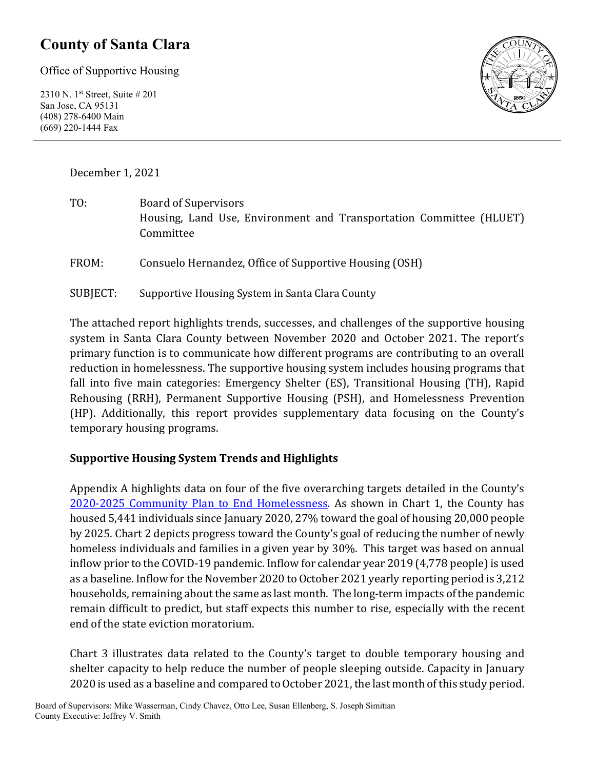### **County of Santa Clara**

Office of Supportive Housing

2310 N. 1st Street, Suite # 201 San Jose, CA 95131 (408) 278-6400 Main (669) 220-1444 Fax



December 1, 2021

TO: Board of Supervisors Housing, Land Use, Environment and Transportation Committee (HLUET) Committee

FROM: Consuelo Hernandez, Office of Supportive Housing (OSH)

SUBJECT: Supportive Housing System in Santa Clara County

The attached report highlights trends, successes, and challenges of the supportive housing system in Santa Clara County between November 2020 and October 2021. The report's primary function is to communicate how different programs are contributing to an overall reduction in homelessness. The supportive housing system includes housing programs that fall into five main categories: Emergency Shelter (ES), Transitional Housing (TH), Rapid Rehousing (RRH), Permanent Supportive Housing (PSH), and Homelessness Prevention (HP). Additionally, this report provides supplementary data focusing on the County's temporary housing programs.

#### **Supportive Housing System Trends and Highlights**

Appendix A highlights data on four of the five overarching targets detailed in the County's 2020-2025 [Community Plan to End Homelessness.](https://www.sccgov.org/sites/yes/takeaction/Pages/2020-Santa-Clara-County-Community-Plan-to-End-Homelessness-.aspx) As shown in Chart 1, the County has housed 5,441 individuals since January 2020, 27% toward the goal of housing 20,000 people by 2025. Chart 2 depicts progress toward the County's goal of reducing the number of newly homeless individuals and families in a given year by 30%. This target was based on annual inflow prior to the COVID-19 pandemic. Inflow for calendar year 2019 (4,778 people) is used as a baseline. Inflow for the November 2020 to October 2021 yearly reporting period is 3,212 households, remaining about the same as last month. The long-term impacts of the pandemic remain difficult to predict, but staff expects this number to rise, especially with the recent end of the state eviction moratorium.

Chart 3 illustrates data related to the County's target to double temporary housing and shelter capacity to help reduce the number of people sleeping outside. Capacity in January 2020 is used as a baseline and compared to October 2021, the last month of this study period.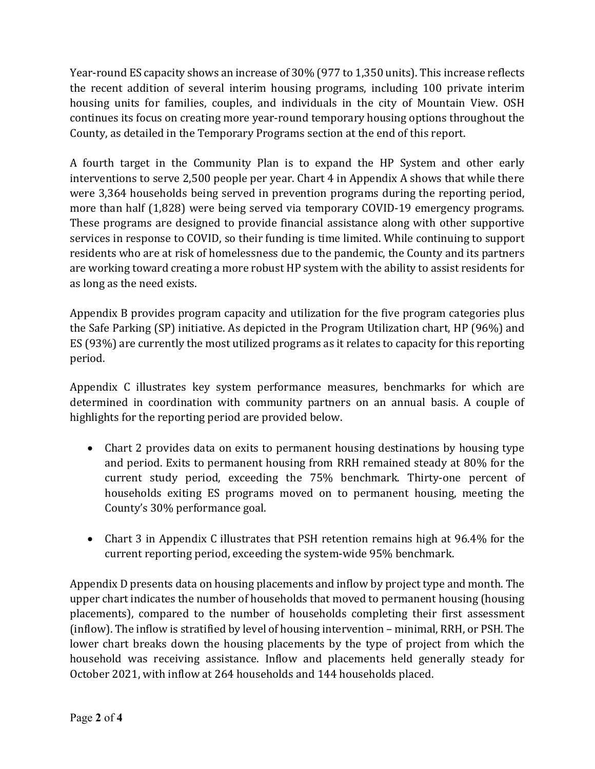Year-round ES capacity shows an increase of 30% (977 to 1,350 units). This increase reflects the recent addition of several interim housing programs, including 100 private interim housing units for families, couples, and individuals in the city of Mountain View. OSH continues its focus on creating more year-round temporary housing options throughout the County, as detailed in the Temporary Programs section at the end of this report.

A fourth target in the Community Plan is to expand the HP System and other early interventions to serve 2,500 people per year. Chart 4 in Appendix A shows that while there were 3,364 households being served in prevention programs during the reporting period, more than half (1,828) were being served via temporary COVID-19 emergency programs. These programs are designed to provide financial assistance along with other supportive services in response to COVID, so their funding is time limited. While continuing to support residents who are at risk of homelessness due to the pandemic, the County and its partners are working toward creating a more robust HP system with the ability to assist residents for as long as the need exists.

Appendix B provides program capacity and utilization for the five program categories plus the Safe Parking (SP) initiative. As depicted in the Program Utilization chart, HP (96%) and ES (93%) are currently the most utilized programs as it relates to capacity for this reporting period.

Appendix C illustrates key system performance measures, benchmarks for which are determined in coordination with community partners on an annual basis. A couple of highlights for the reporting period are provided below.

- Chart 2 provides data on exits to permanent housing destinations by housing type and period. Exits to permanent housing from RRH remained steady at 80% for the current study period, exceeding the 75% benchmark. Thirty-one percent of households exiting ES programs moved on to permanent housing, meeting the County's 30% performance goal.
- Chart 3 in Appendix C illustrates that PSH retention remains high at 96.4% for the current reporting period, exceeding the system-wide 95% benchmark.

Appendix D presents data on housing placements and inflow by project type and month. The upper chart indicates the number of households that moved to permanent housing (housing placements), compared to the number of households completing their first assessment (inflow). The inflow is stratified by level of housing intervention – minimal, RRH, or PSH. The lower chart breaks down the housing placements by the type of project from which the household was receiving assistance. Inflow and placements held generally steady for October 2021, with inflow at 264 households and 144 households placed.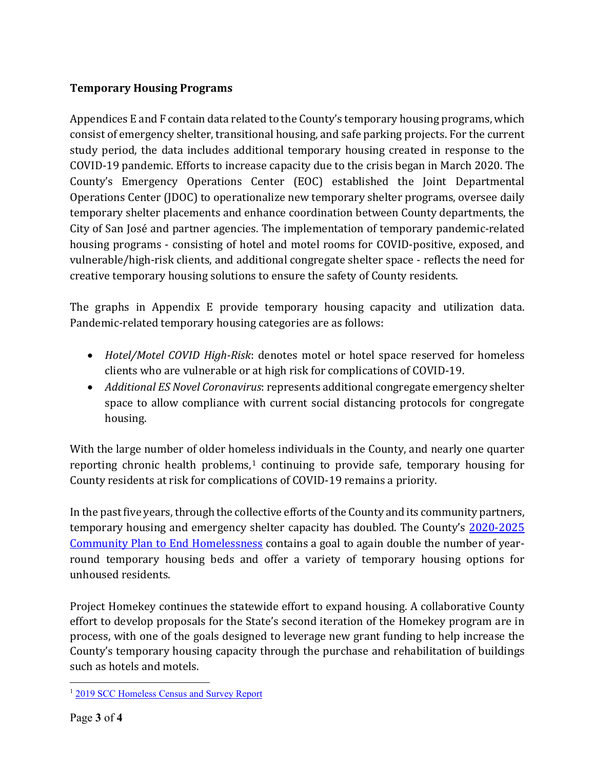#### **Temporary Housing Programs**

Appendices E and F contain data related to the County's temporary housing programs, which consist of emergency shelter, transitional housing, and safe parking projects. For the current study period, the data includes additional temporary housing created in response to the COVID-19 pandemic. Efforts to increase capacity due to the crisis began in March 2020. The County's Emergency Operations Center (EOC) established the Joint Departmental Operations Center (JDOC) to operationalize new temporary shelter programs, oversee daily temporary shelter placements and enhance coordination between County departments, the City of San José and partner agencies. The implementation of temporary pandemic-related housing programs - consisting of hotel and motel rooms for COVID-positive, exposed, and vulnerable/high-risk clients, and additional congregate shelter space - reflects the need for creative temporary housing solutions to ensure the safety of County residents.

The graphs in Appendix E provide temporary housing capacity and utilization data. Pandemic-related temporary housing categories are as follows:

- *Hotel/Motel COVID High-Risk*: denotes motel or hotel space reserved for homeless clients who are vulnerable or at high risk for complications of COVID-19.
- *Additional ES Novel Coronavirus*: represents additional congregate emergency shelter space to allow compliance with current social distancing protocols for congregate housing.

With the large number of older homeless individuals in the County, and nearly one quarter reporting chronic health problems, $1$  continuing to provide safe, temporary housing for County residents at risk for complications of COVID-19 remains a priority.

In the past five years, through the collective efforts of the County and its community partners, temporary housing and emergency shelter capacity has doubled. The County's [2020-2025](https://www.sccgov.org/sites/yes/takeaction/Pages/2020-Santa-Clara-County-Community-Plan-to-End-Homelessness-.aspx)  [Community Plan to End Homelessness](https://www.sccgov.org/sites/yes/takeaction/Pages/2020-Santa-Clara-County-Community-Plan-to-End-Homelessness-.aspx) contains a goal to again double the number of yearround temporary housing beds and offer a variety of temporary housing options for unhoused residents.

Project Homekey continues the statewide effort to expand housing. A collaborative County effort to develop proposals for the State's second iteration of the Homekey program are in process, with one of the goals designed to leverage new grant funding to help increase the County's temporary housing capacity through the purchase and rehabilitation of buildings such as hotels and motels.

<span id="page-2-0"></span><sup>&</sup>lt;sup>1</sup> [2019 SCC Homeless Census and Survey Report](https://www.sccgov.org/sites/osh/ContinuumofCare/ReportsandPublications/Documents/2015%20Santa%20Clara%20County%20Homeless%20Census%20and%20Survey/2019%20SCC%20Homeless%20Census%20and%20Survey%20Report.pdf)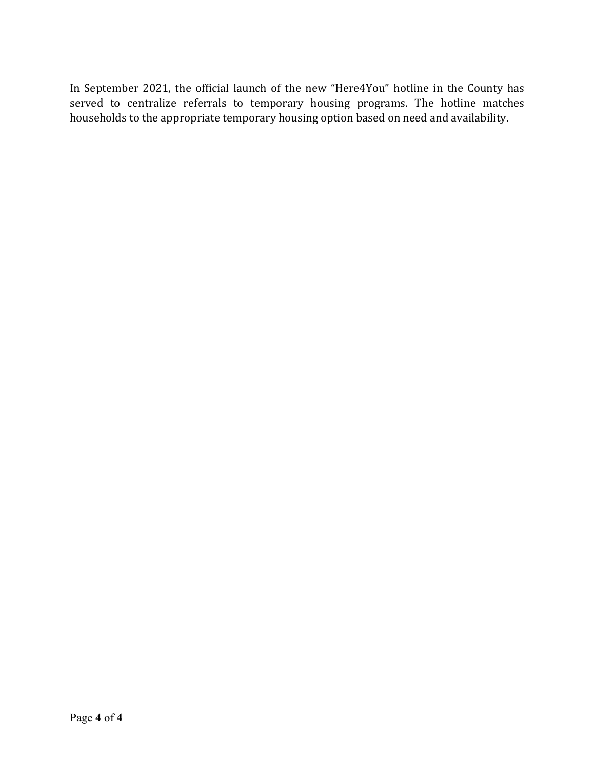In September 2021, the official launch of the new "Here4You" hotline in the County has served to centralize referrals to temporary housing programs. The hotline matches households to the appropriate temporary housing option based on need and availability.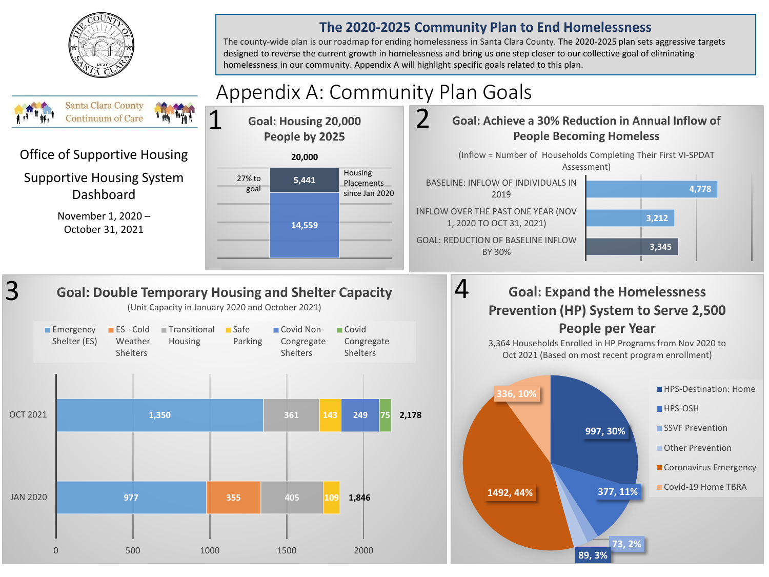

#### **The 2020-2025 Community Plan to End Homelessness**

The county-wide plan is our roadmap for ending homelessness in Santa Clara County. The 2020-2025 plan sets aggressive targets designed to reverse the current growth in homelessness and bring us one step closer to our collective goal of eliminating homelessness in our community. Appendix A will highlight specific goals related to this plan.

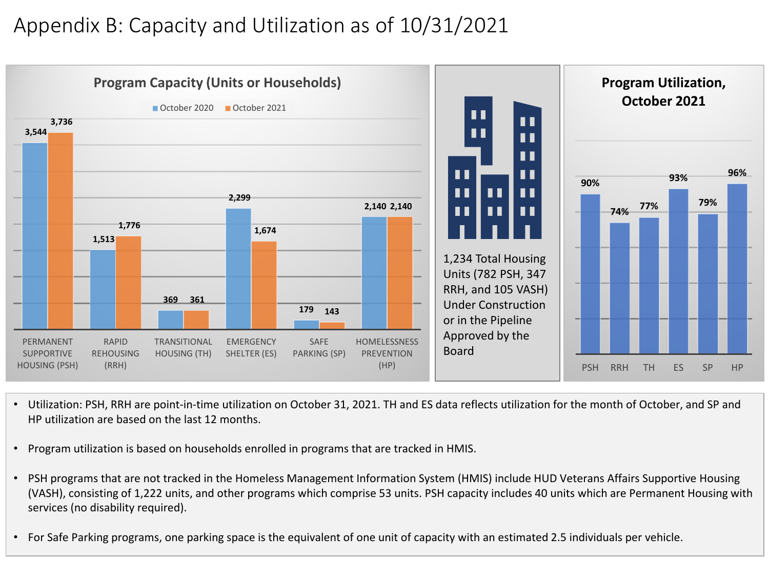# Appendix B: Capacity and Utilization as of 10/31/2021



- Utilization: PSH, RRH are point-in-time utilization on October 31, 2021. TH and ES data reflects utilization for the month of October, and SP and HP utilization are based on the last 12 months.
- Program utilization is based on households enrolled in programs that are tracked in HMIS.
- PSH programs that are not tracked in the Homeless Management Information System (HMIS) include HUD Veterans Affairs Supportive Housing (VASH), consisting of 1,222 units, and other programs which comprise 53 units. PSH capacity includes 40 units which are Permanent Housing with services (no disability required).
- For Safe Parking programs, one parking space is the equivalent of one unit of capacity with an estimated 2.5 individuals per vehicle.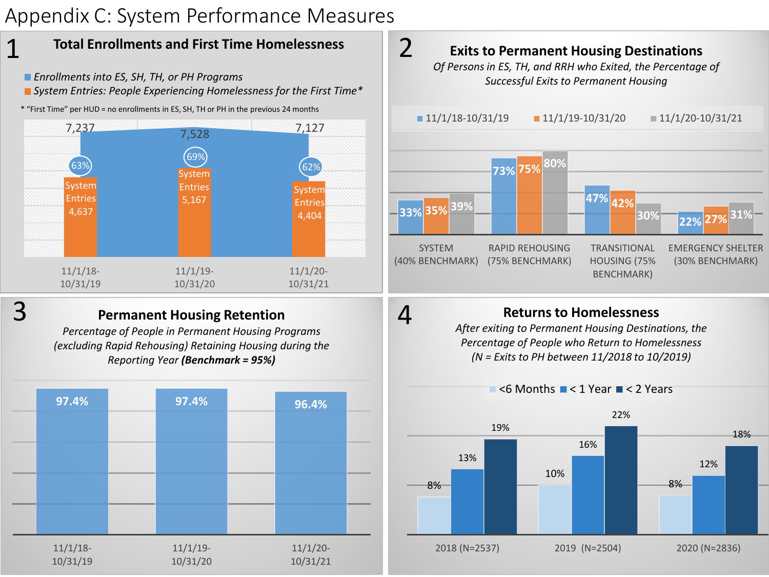## Appendix C: System Performance Measures



4

### 3

#### **Permanent Housing Retention**

*Percentage of People in Permanent Housing Programs (excluding Rapid Rehousing) Retaining Housing during the Reporting Year (Benchmark = 95%)*





#### **Returns to Homelessness**

*After exiting to Permanent Housing Destinations, the Percentage of People who Return to Homelessness (N = Exits to PH between 11/2018 to 10/2019)*

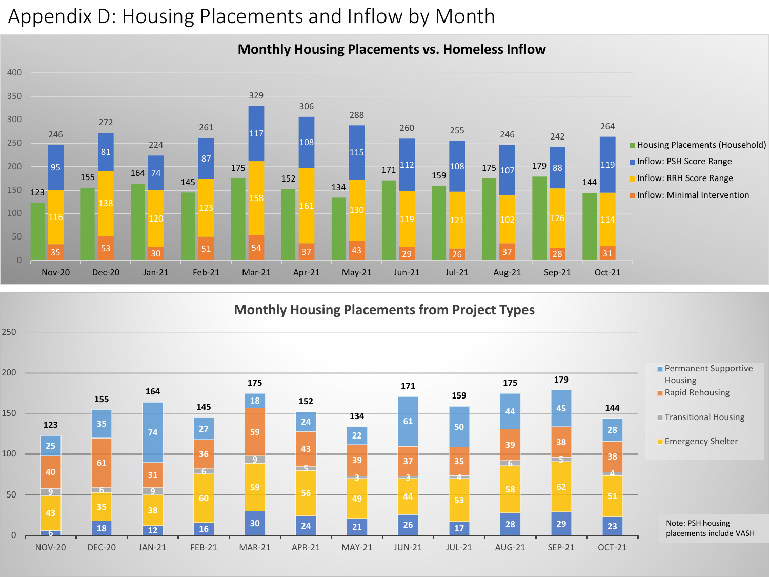## Appendix D: Housing Placements and Inflow by Month

#### 164 171 172 159 175 107 35 <mark>35 33</mark> 30 30 5<sup>1</sup> 5<sup>1</sup> 5<sup>4</sup> 37 4<sup>3</sup> 3<sup>2</sup> 3<sup>2</sup> 3<sup>2</sup> 3<sup>3</sup> 161 130 119 121 102 1<sup>126</sup> 114 108 175 <sub>107</sub> 179 <sub>88</sub> 119 <sup>255</sup> <sup>246</sup> <sup>242</sup> Nov-20 Dec-20 Jan-21 Feb-21 Mar-21 Apr-21 May-21 Jun-21 Jul-21 Aug-21 Sep-21 Oct-21 **Housing Placements (Household)** Inflow: PSH Score Range Inflow: RRH Score Range **Inflow: Minimal Intervention**

#### **Monthly Housing Placements vs. Homeless Inflow**

**Monthly Housing Placements from Project Types**

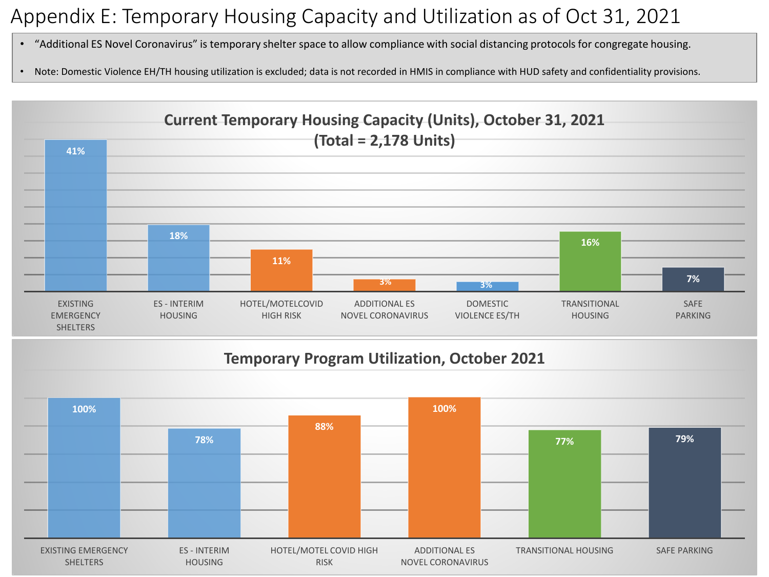# Appendix E: Temporary Housing Capacity and Utilization as of Oct 31, 2021

- "Additional ES Novel Coronavirus" is temporary shelter space to allow compliance with social distancing protocols for congregate housing.
- Note: Domestic Violence EH/TH housing utilization is excluded; data is not recorded in HMIS in compliance with HUD safety and confidentiality provisions.



### **Temporary Program Utilization, October 2021**